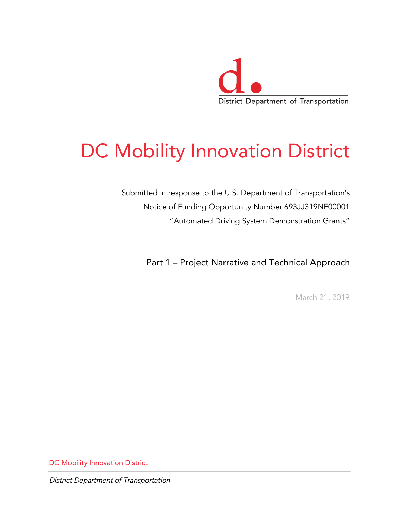

# DC Mobility Innovation District

Submitted in response to the U.S. Department of Transportation's Notice of Funding Opportunity Number 693JJ319NF00001 "Automated Driving System Demonstration Grants"

Part 1 – Project Narrative and Technical Approach

March 21, 2019

DC Mobility Innovation District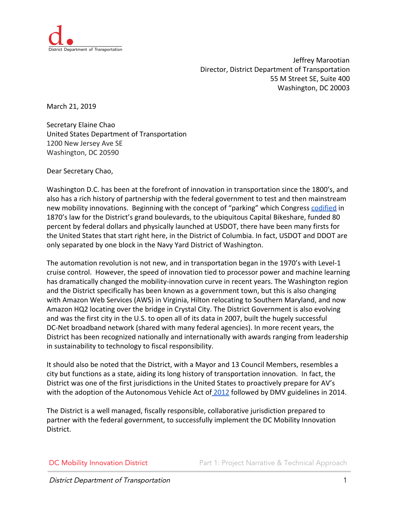

Jeffrey Marootian Director, District Department of Transportation 55 M Street SE, Suite 400 Washington, DC 20003

March 21, 2019

Secretary Elaine Chao United States Department of Transportation 1200 New Jersey Ave SE Washington, DC 20590

Dear Secretary Chao,

Washington D.C. has been at the forefront of innovation in transportation since the 1800's, and also has a rich history of partnership with the federal government to test and then mainstream new mobility innovations. Beginning with the concept of "parking" which Congress [codified](http://www.deeproot.com/blog/blog-entries/when-parking-meant-space-for-trees) in 1870's law for the District's grand boulevards, to the ubiquitous Capital Bikeshare, funded 80 percent by federal dollars and physically launched at USDOT, there have been many firsts for the United States that start right here, in the District of Columbia. In fact, USDOT and DDOT are only separated by one block in the Navy Yard District of Washington.

The automation revolution is not new, and in transportation began in the 1970's with Level-1 cruise control. However, the speed of innovation tied to processor power and machine learning has dramatically changed the mobility-innovation curve in recent years. The Washington region and the District specifically has been known as a government town, but this is also changing with Amazon Web Services (AWS) in Virginia, Hilton relocating to Southern Maryland, and now Amazon HQ2 locating over the bridge in Crystal City. The District Government is also evolving and was the first city in the U.S. to open all of its data in 2007, built the hugely successful DC-Net broadband network (shared with many federal agencies). In more recent years, the District has been recognized nationally and internationally with awards ranging from leadership in sustainability to technology to fiscal responsibility.

It should also be noted that the District, with a Mayor and 13 Council Members, resembles a city but functions as a state, aiding its long history of transportation innovation. In fact, the District was one of the first jurisdictions in the United States to proactively prepare for AV's with the adoption of the Autonomous Vehicle Act of [2012](http://lims.dccouncil.us/Legislation/B19-0931) followed by DMV guidelines in 2014.

The District is a well managed, fiscally responsible, collaborative jurisdiction prepared to partner with the federal government, to successfully implement the DC Mobility Innovation District.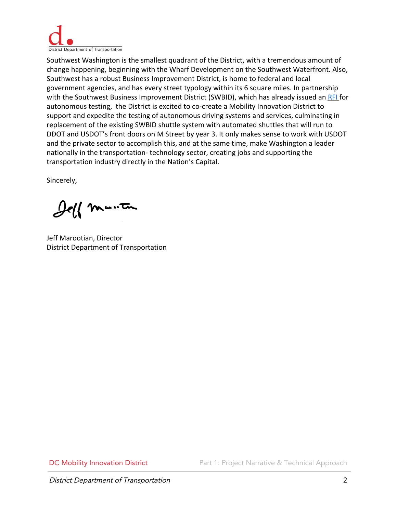

Southwest Washington is the smallest quadrant of the District, with a tremendous amount of change happening, beginning with the Wharf Development on the Southwest Waterfront. Also, Southwest has a robust Business Improvement District, is home to federal and local government agencies, and has every street typology within its 6 square miles. In partnership with the Southwest Business Improvement District (SWBID), which has already issued an [RFI f](https://www.swbid.org/autonomous-vehicles)or autonomous testing, the District is excited to co-create a Mobility Innovation District to support and expedite the testing of autonomous driving systems and services, culminating in replacement of the existing SWBID shuttle system with automated shuttles that will run to DDOT and USDOT's front doors on M Street by year 3. It only makes sense to work with USDOT and the private sector to accomplish this, and at the same time, make Washington a leader nationally in the transportation- technology sector, creating jobs and supporting the transportation industry directly in the Nation's Capital.

Sincerely,

Jeff manten

Jeff Marootian, Director District Department of Transportation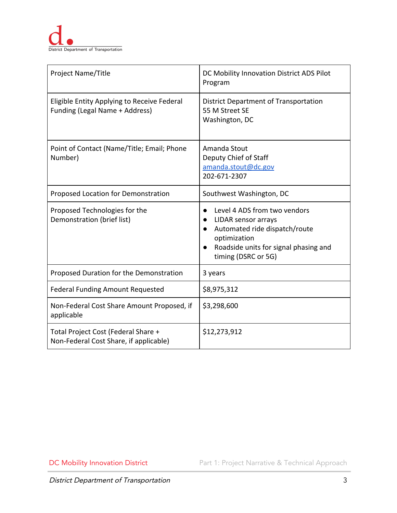| Project Name/Title                                                            | DC Mobility Innovation District ADS Pilot<br>Program                                                                                                                 |
|-------------------------------------------------------------------------------|----------------------------------------------------------------------------------------------------------------------------------------------------------------------|
| Eligible Entity Applying to Receive Federal<br>Funding (Legal Name + Address) | District Department of Transportation<br>55 M Street SE<br>Washington, DC                                                                                            |
| Point of Contact (Name/Title; Email; Phone<br>Number)                         | Amanda Stout<br>Deputy Chief of Staff<br>amanda.stout@dc.gov<br>202-671-2307                                                                                         |
| Proposed Location for Demonstration                                           | Southwest Washington, DC                                                                                                                                             |
| Proposed Technologies for the<br>Demonstration (brief list)                   | Level 4 ADS from two vendors<br>LIDAR sensor arrays<br>Automated ride dispatch/route<br>optimization<br>Roadside units for signal phasing and<br>timing (DSRC or 5G) |
| Proposed Duration for the Demonstration                                       | 3 years                                                                                                                                                              |
| <b>Federal Funding Amount Requested</b>                                       | \$8,975,312                                                                                                                                                          |
| Non-Federal Cost Share Amount Proposed, if<br>applicable                      | \$3,298,600                                                                                                                                                          |
| Total Project Cost (Federal Share +<br>Non-Federal Cost Share, if applicable) | \$12,273,912                                                                                                                                                         |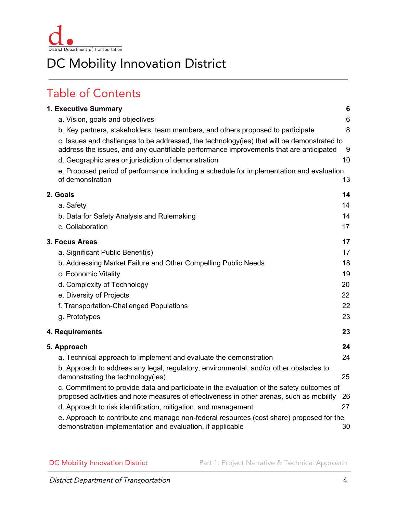

# DC Mobility Innovation District

# Table of Contents

| 1. Executive Summary                                                                                                                                                                  | $6\phantom{1}6$ |
|---------------------------------------------------------------------------------------------------------------------------------------------------------------------------------------|-----------------|
| a. Vision, goals and objectives                                                                                                                                                       | 6               |
| b. Key partners, stakeholders, team members, and others proposed to participate                                                                                                       | 8               |
| c. Issues and challenges to be addressed, the technology(ies) that will be demonstrated to<br>address the issues, and any quantifiable performance improvements that are anticipated  | 9               |
| d. Geographic area or jurisdiction of demonstration                                                                                                                                   | 10              |
| e. Proposed period of performance including a schedule for implementation and evaluation<br>of demonstration                                                                          | 13              |
| 2. Goals                                                                                                                                                                              | 14              |
| a. Safety                                                                                                                                                                             | 14              |
| b. Data for Safety Analysis and Rulemaking                                                                                                                                            | 14              |
| c. Collaboration                                                                                                                                                                      | 17              |
| 3. Focus Areas                                                                                                                                                                        | 17              |
| a. Significant Public Benefit(s)                                                                                                                                                      | 17              |
| b. Addressing Market Failure and Other Compelling Public Needs                                                                                                                        | 18              |
| c. Economic Vitality                                                                                                                                                                  | 19              |
| d. Complexity of Technology                                                                                                                                                           | 20              |
| e. Diversity of Projects                                                                                                                                                              | 22              |
| f. Transportation-Challenged Populations                                                                                                                                              | 22              |
| g. Prototypes                                                                                                                                                                         | 23              |
| 4. Requirements                                                                                                                                                                       | 23              |
| 5. Approach                                                                                                                                                                           | 24              |
| a. Technical approach to implement and evaluate the demonstration                                                                                                                     | 24              |
| b. Approach to address any legal, regulatory, environmental, and/or other obstacles to<br>demonstrating the technology(ies)                                                           | 25              |
| c. Commitment to provide data and participate in the evaluation of the safety outcomes of<br>proposed activities and note measures of effectiveness in other arenas, such as mobility | 26              |
| d. Approach to risk identification, mitigation, and management                                                                                                                        | 27              |
| e. Approach to contribute and manage non-federal resources (cost share) proposed for the<br>demonstration implementation and evaluation, if applicable                                | 30              |
|                                                                                                                                                                                       |                 |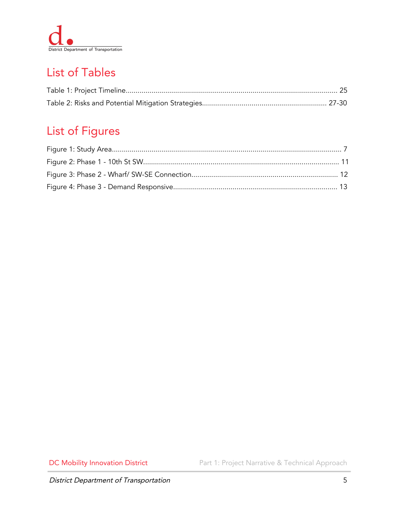

# List of Tables

# List of Figures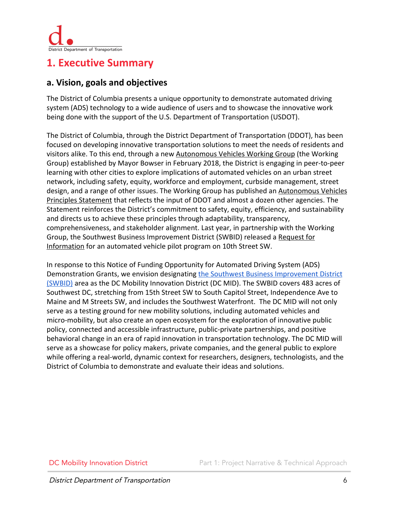

## <span id="page-6-0"></span>**1. Executive Summary**

#### <span id="page-6-1"></span>**a. Vision, goals and objectives**

The District of Columbia presents a unique opportunity to demonstrate automated driving system (ADS) technology to a wide audience of users and to showcase the innovative work being done with the support of the U.S. Department of Transportation (USDOT).

The District of Columbia, through the District Department of Transportation (DDOT), has been focused on developing innovative transportation solutions to meet the needs of residents and visitors alike. To this end, through a new [Autonomous Vehicles Working Group](https://dmped.dc.gov/page/autonomous) (the Working Group) [established by Mayor Bowser in February 2018,](https://dmped.dc.gov/release/mayor-bowser-establishes-autonomous-vehicle-working-group) the District is engaging in peer-to-peer learning with other cities to explore implications of automated vehicles on an urban street network, including safety, equity, workforce and employment, curbside management, street design, and a range of other issues. The Working Group has published an [Autonomous Vehicles](https://dmped.dc.gov/sites/default/files/dc/sites/dmped/publication/attachments/Autonomous%20Vehicles%20Principles%20Statement_0.pdf) [Principles Statement](https://dmped.dc.gov/sites/default/files/dc/sites/dmped/publication/attachments/Autonomous%20Vehicles%20Principles%20Statement_0.pdf) that reflects the input of DDOT and almost a dozen other agencies. The Statement reinforces the District's commitment to safety, equity, efficiency, and sustainability and directs us to achieve these principles through adaptability, transparency, comprehensiveness, and stakeholder alignment. Last year, in partnership with the Working Group, the Southwest Business Improvement District (SWBID) released a [Request for](https://static1.squarespace.com/static/59160436ff7c50511f6f72cc/t/5a7e0ce253450a3d5979a88c/1518210274758/SWBID+AV+RFI+FINAL.pdf) [Information](https://static1.squarespace.com/static/59160436ff7c50511f6f72cc/t/5a7e0ce253450a3d5979a88c/1518210274758/SWBID+AV+RFI+FINAL.pdf) for an automated vehicle pilot program on 10th Street SW.

In response to this Notice of Funding Opportunity for Automated Driving System (ADS) Demonstration Grants, we envision designating [the Southwest Business Improvement District](https://www.swbid.org/swbid) [\(SWBID\)](https://www.swbid.org/swbid) area as the DC Mobility Innovation District (DC MID). The SWBID covers 483 acres of Southwest DC, stretching from 15th Street SW to South Capitol Street, Independence Ave to Maine and M Streets SW, and includes the Southwest Waterfront. The DC MID will not only serve as a testing ground for new mobility solutions, including automated vehicles and micro-mobility, but also create an open ecosystem for the exploration of innovative public policy, connected and accessible infrastructure, public-private partnerships, and positive behavioral change in an era of rapid innovation in transportation technology. The DC MID will serve as a showcase for policy makers, private companies, and the general public to explore while offering a real-world, dynamic context for researchers, designers, technologists, and the District of Columbia to demonstrate and evaluate their ideas and solutions.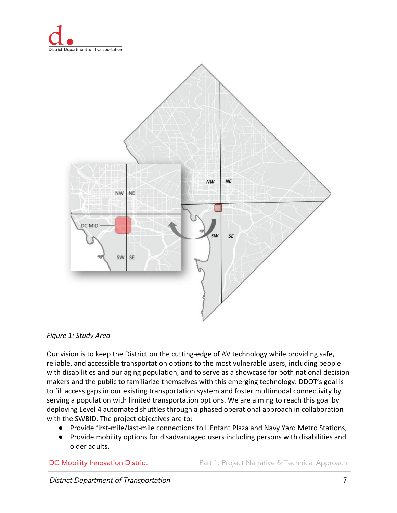



*Figure 1: Study Area*

Our vision is to keep the District on the cutting-edge of AV technology while providing safe, reliable, and accessible transportation options to the most vulnerable users, including people with disabilities and our aging population, and to serve as a showcase for both national decision makers and the public to familiarize themselves with this emerging technology. DDOT's goal is to fill access gaps in our existing transportation system and foster multimodal connectivity by serving a population with limited transportation options. We are aiming to reach this goal by deploying Level 4 automated shuttles through a phased operational approach in collaboration with the SWBID. The project objectives are to:

- Provide first-mile/last-mile connections to L'Enfant Plaza and Navy Yard Metro Stations,
- Provide mobility options for disadvantaged users including persons with disabilities and older adults,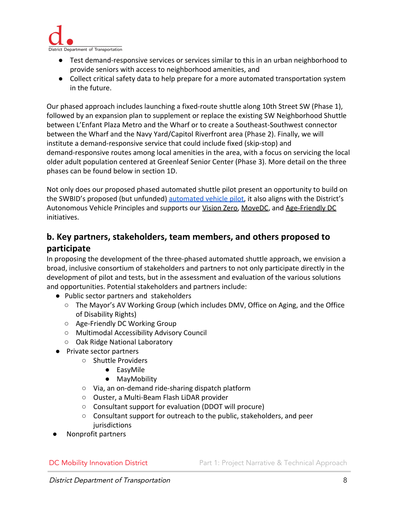

- Test demand-responsive services or services similar to this in an urban neighborhood to provide seniors with access to neighborhood amenities, and
- Collect critical safety data to help prepare for a more automated transportation system in the future.

Our phased approach includes launching a fixed-route shuttle along 10th Street SW (Phase 1), followed by an expansion plan to supplement or replace the existing SW Neighborhood Shuttle between L'Enfant Plaza Metro and the Wharf or to create a Southeast-Southwest connector between the Wharf and the Navy Yard/Capitol Riverfront area (Phase 2). Finally, we will institute a demand-responsive service that could include fixed (skip-stop) and demand-responsive routes among local amenities in the area, with a focus on servicing the local older adult population centered at Greenleaf Senior Center (Phase 3). More detail on the three phases can be found below in section 1D.

Not only does our proposed phased automated shuttle pilot present an opportunity to build on the SWBID's proposed (but unfunded) [automated vehicle pilot](https://www.swbid.org/autonomous-vehicles), it also aligns with the District's Autonomous Vehicle Principles and supports our [Vision Zero,](https://www.dcvisionzero.com/) [MoveDC,](http://www.wemovedc.org/) and [Age-Friendly DC](https://agefriendly.dc.gov/) initiatives.

#### <span id="page-8-0"></span>**b. Key partners, stakeholders, team members, and others proposed to participate**

In proposing the development of the three-phased automated shuttle approach, we envision a broad, inclusive consortium of stakeholders and partners to not only participate directly in the development of pilot and tests, but in the assessment and evaluation of the various solutions and opportunities. Potential stakeholders and partners include:

- Public sector partners and stakeholders
	- The Mayor's AV Working Group (which includes DMV, Office on Aging, and the Office of Disability Rights)
	- Age-Friendly DC Working Group
	- Multimodal Accessibility Advisory Council
	- Oak Ridge National Laboratory
- Private sector partners
	- Shuttle Providers
		- EasyMile
		- MayMobility
	- Via, an on-demand ride-sharing dispatch platform
	- Ouster, a Multi-Beam Flash LiDAR provider
	- Consultant support for evaluation (DDOT will procure)
	- Consultant support for outreach to the public, stakeholders, and peer jurisdictions
- Nonprofit partners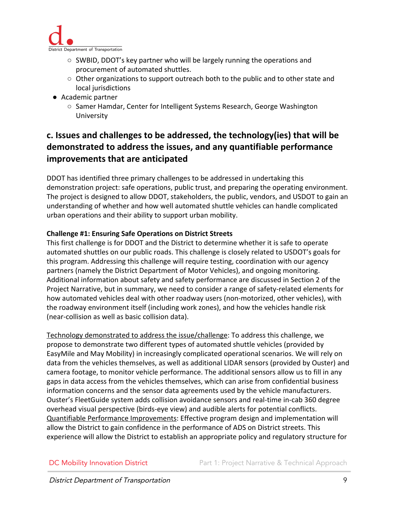

- SWBID, DDOT's key partner who will be largely running the operations and procurement of automated shuttles.
- $\circ$  Other organizations to support outreach both to the public and to other state and local jurisdictions
- Academic partner
	- Samer Hamdar, Center for Intelligent Systems Research, George Washington University

### <span id="page-9-0"></span>**c. Issues and challenges to be addressed, the technology(ies) that will be demonstrated to address the issues, and any quantifiable performance improvements that are anticipated**

DDOT has identified three primary challenges to be addressed in undertaking this demonstration project: safe operations, public trust, and preparing the operating environment. The project is designed to allow DDOT, stakeholders, the public, vendors, and USDOT to gain an understanding of whether and how well automated shuttle vehicles can handle complicated urban operations and their ability to support urban mobility.

#### **Challenge #1: Ensuring Safe Operations on District Streets**

This first challenge is for DDOT and the District to determine whether it is safe to operate automated shuttles on our public roads. This challenge is closely related to USDOT's goals for this program. Addressing this challenge will require testing, coordination with our agency partners (namely the District Department of Motor Vehicles), and ongoing monitoring. Additional information about safety and safety performance are discussed in Section 2 of the Project Narrative, but in summary, we need to consider a range of safety-related elements for how automated vehicles deal with other roadway users (non-motorized, other vehicles), with the roadway environment itself (including work zones), and how the vehicles handle risk (near-collision as well as basic collision data).

Technology demonstrated to address the issue/challenge: To address this challenge, we propose to demonstrate two different types of automated shuttle vehicles (provided by EasyMile and May Mobility) in increasingly complicated operational scenarios. We will rely on data from the vehicles themselves, as well as additional LIDAR sensors (provided by Ouster) and camera footage, to monitor vehicle performance. The additional sensors allow us to fill in any gaps in data access from the vehicles themselves, which can arise from confidential business information concerns and the sensor data agreements used by the vehicle manufacturers. Ouster's FleetGuide system adds collision avoidance sensors and real-time in-cab 360 degree overhead visual perspective (birds-eye view) and audible alerts for potential conflicts. Quantifiable Performance Improvements: Effective program design and implementation will allow the District to gain confidence in the performance of ADS on District streets. This experience will allow the District to establish an appropriate policy and regulatory structure for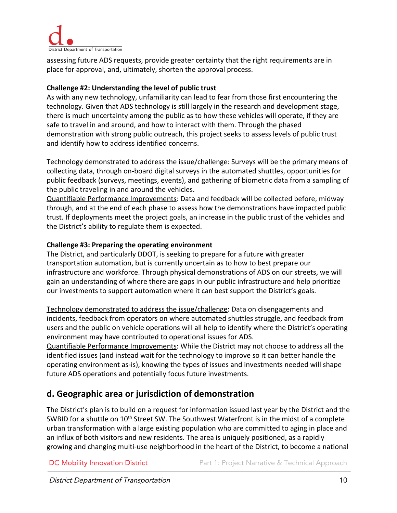

assessing future ADS requests, provide greater certainty that the right requirements are in place for approval, and, ultimately, shorten the approval process.

#### **Challenge #2: Understanding the level of public trust**

As with any new technology, unfamiliarity can lead to fear from those first encountering the technology. Given that ADS technology is still largely in the research and development stage, there is much uncertainty among the public as to how these vehicles will operate, if they are safe to travel in and around, and how to interact with them. Through the phased demonstration with strong public outreach, this project seeks to assess levels of public trust and identify how to address identified concerns.

Technology demonstrated to address the issue/challenge: Surveys will be the primary means of collecting data, through on-board digital surveys in the automated shuttles, opportunities for public feedback (surveys, meetings, events), and gathering of biometric data from a sampling of the public traveling in and around the vehicles.

Quantifiable Performance Improvements: Data and feedback will be collected before, midway through, and at the end of each phase to assess how the demonstrations have impacted public trust. If deployments meet the project goals, an increase in the public trust of the vehicles and the District's ability to regulate them is expected.

#### **Challenge #3: Preparing the operating environment**

The District, and particularly DDOT, is seeking to prepare for a future with greater transportation automation, but is currently uncertain as to how to best prepare our infrastructure and workforce. Through physical demonstrations of ADS on our streets, we will gain an understanding of where there are gaps in our public infrastructure and help prioritize our investments to support automation where it can best support the District's goals.

Technology demonstrated to address the issue/challenge: Data on disengagements and incidents, feedback from operators on where automated shuttles struggle, and feedback from users and the public on vehicle operations will all help to identify where the District's operating environment may have contributed to operational issues for ADS.

Quantifiable Performance Improvements: While the District may not choose to address all the identified issues (and instead wait for the technology to improve so it can better handle the operating environment as-is), knowing the types of issues and investments needed will shape future ADS operations and potentially focus future investments.

#### <span id="page-10-0"></span>**d. Geographic area or jurisdiction of demonstration**

The District's plan is to build on a request for information issued last year by the District and the SWBID for a shuttle on 10<sup>th</sup> Street SW. The Southwest Waterfront is in the midst of a complete urban transformation with a large existing population who are committed to aging in place and an influx of both visitors and new residents. The area is uniquely positioned, as a rapidly growing and changing multi-use neighborhood in the heart of the District, to become a national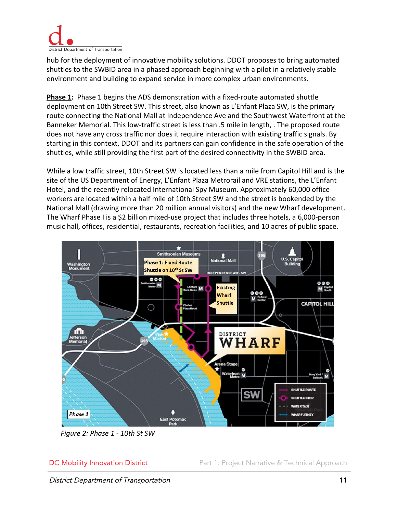

hub for the deployment of innovative mobility solutions. DDOT proposes to bring automated shuttles to the SWBID area in a phased approach beginning with a pilot in a relatively stable environment and building to expand service in more complex urban environments.

**Phase 1:** Phase 1 begins the ADS demonstration with a fixed-route automated shuttle deployment on 10th Street SW. This street, also known as L'Enfant Plaza SW, is the primary route connecting the National Mall at Independence Ave and the Southwest Waterfront at the Banneker Memorial. This low-traffic street is less than .5 mile in length, . The proposed route does not have any cross traffic nor does it require interaction with existing traffic signals. By starting in this context, DDOT and its partners can gain confidence in the safe operation of the shuttles, while still providing the first part of the desired connectivity in the SWBID area.

While a low traffic street, 10th Street SW is located less than a mile from Capitol Hill and is the site of the US Department of Energy, L'Enfant Plaza Metrorail and VRE stations, the L'Enfant Hotel, and the recently relocated International Spy Museum. Approximately 60,000 office workers are located within a half mile of 10th Street SW and the street is bookended by the National Mall (drawing more than 20 million annual visitors) and the new Wharf development. The Wharf Phase I is a \$2 billion mixed-use project that includes three hotels, a 6,000-person music hall, offices, residential, restaurants, recreation facilities, and 10 acres of public space.



*Figure 2: Phase 1 - 10th St SW*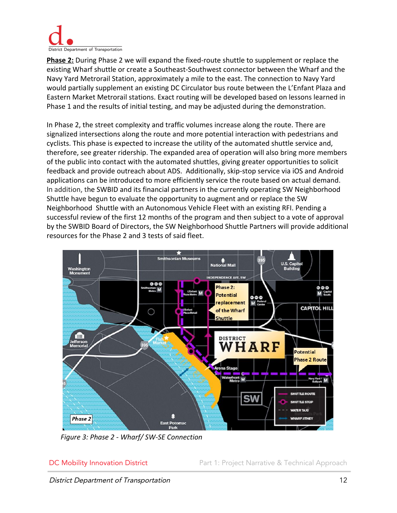

**Phase 2:** During Phase 2 we will expand the fixed-route shuttle to supplement or replace the existing Wharf shuttle or create a Southeast-Southwest connector between the Wharf and the Navy Yard Metrorail Station, approximately a mile to the east. The connection to Navy Yard would partially supplement an existing DC Circulator bus route between the L'Enfant Plaza and Eastern Market Metrorail stations. Exact routing will be developed based on lessons learned in Phase 1 and the results of initial testing, and may be adjusted during the demonstration.

In Phase 2, the street complexity and traffic volumes increase along the route. There are signalized intersections along the route and more potential interaction with pedestrians and cyclists. This phase is expected to increase the utility of the automated shuttle service and, therefore, see greater ridership. The expanded area of operation will also bring more members of the public into contact with the automated shuttles, giving greater opportunities to solicit feedback and provide outreach about ADS. Additionally, skip-stop service via iOS and Android applications can be introduced to more efficiently service the route based on actual demand. In addition, the SWBID and its financial partners in the currently operating SW Neighborhood Shuttle have begun to evaluate the opportunity to augment and or replace the SW Neighborhood Shuttle with an Autonomous Vehicle Fleet with an existing RFI. Pending a successful review of the first 12 months of the program and then subject to a vote of approval by the SWBID Board of Directors, the SW Neighborhood Shuttle Partners will provide additional resources for the Phase 2 and 3 tests of said fleet.



*Figure 3: Phase 2 - Wharf/ SW-SE Connection*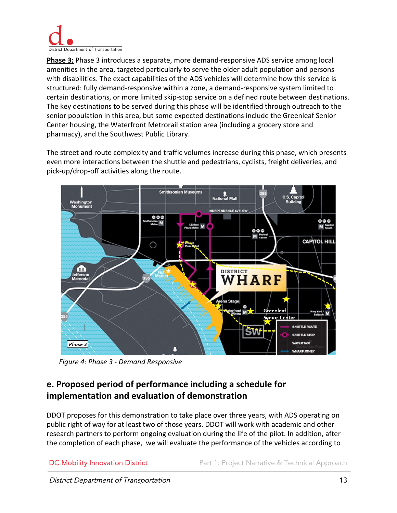

**Phase 3:** Phase 3 introduces a separate, more demand-responsive ADS service among local amenities in the area, targeted particularly to serve the older adult population and persons with disabilities. The exact capabilities of the ADS vehicles will determine how this service is structured: fully demand-responsive within a zone, a demand-responsive system limited to certain destinations, or more limited skip-stop service on a defined route between destinations. The key destinations to be served during this phase will be identified through outreach to the senior population in this area, but some expected destinations include the Greenleaf Senior Center housing, the Waterfront Metrorail station area (including a grocery store and pharmacy), and the Southwest Public Library.

The street and route complexity and traffic volumes increase during this phase, which presents even more interactions between the shuttle and pedestrians, cyclists, freight deliveries, and pick-up/drop-off activities along the route.



 *Figure 4: Phase 3 - Demand Responsive*

### <span id="page-13-0"></span>**e. Proposed period of performance including a schedule for implementation and evaluation of demonstration**

DDOT proposes for this demonstration to take place over three years, with ADS operating on public right of way for at least two of those years. DDOT will work with academic and other research partners to perform ongoing evaluation during the life of the pilot. In addition, after the completion of each phase, we will evaluate the performance of the vehicles according to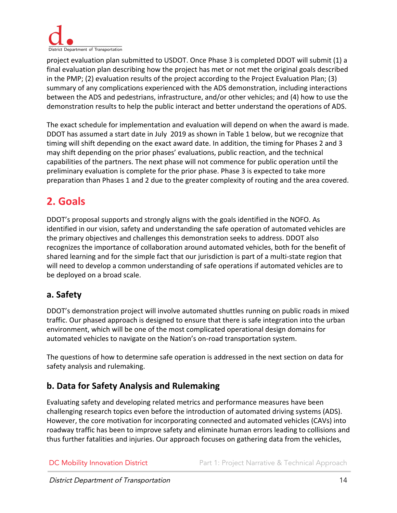

project evaluation plan submitted to USDOT. Once Phase 3 is completed DDOT will submit (1) a final evaluation plan describing how the project has met or not met the original goals described in the PMP; (2) evaluation results of the project according to the Project Evaluation Plan; (3) summary of any complications experienced with the ADS demonstration, including interactions between the ADS and pedestrians, infrastructure, and/or other vehicles; and (4) how to use the demonstration results to help the public interact and better understand the operations of ADS.

The exact schedule for implementation and evaluation will depend on when the award is made. DDOT has assumed a start date in July 2019 as shown in Table 1 below, but we recognize that timing will shift depending on the exact award date. In addition, the timing for Phases 2 and 3 may shift depending on the prior phases' evaluations, public reaction, and the technical capabilities of the partners. The next phase will not commence for public operation until the preliminary evaluation is complete for the prior phase. Phase 3 is expected to take more preparation than Phases 1 and 2 due to the greater complexity of routing and the area covered.

# <span id="page-14-0"></span>**2. Goals**

DDOT's proposal supports and strongly aligns with the goals identified in the NOFO. As identified in our vision, safety and understanding the safe operation of automated vehicles are the primary objectives and challenges this demonstration seeks to address. DDOT also recognizes the importance of collaboration around automated vehicles, both for the benefit of shared learning and for the simple fact that our jurisdiction is part of a multi-state region that will need to develop a common understanding of safe operations if automated vehicles are to be deployed on a broad scale.

#### <span id="page-14-1"></span>**a. Safety**

DDOT's demonstration project will involve automated shuttles running on public roads in mixed traffic. Our phased approach is designed to ensure that there is safe integration into the urban environment, which will be one of the most complicated operational design domains for automated vehicles to navigate on the Nation's on-road transportation system.

The questions of how to determine safe operation is addressed in the next section on data for safety analysis and rulemaking.

#### <span id="page-14-2"></span>**b. Data for Safety Analysis and Rulemaking**

Evaluating safety and developing related metrics and performance measures have been challenging research topics even before the introduction of automated driving systems (ADS). However, the core motivation for incorporating connected and automated vehicles (CAVs) into roadway traffic has been to improve safety and eliminate human errors leading to collisions and thus further fatalities and injuries. Our approach focuses on gathering data from the vehicles,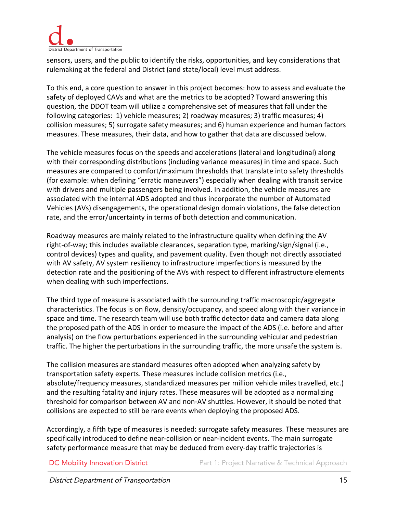

sensors, users, and the public to identify the risks, opportunities, and key considerations that rulemaking at the federal and District (and state/local) level must address.

To this end, a core question to answer in this project becomes: how to assess and evaluate the safety of deployed CAVs and what are the metrics to be adopted? Toward answering this question, the DDOT team will utilize a comprehensive set of measures that fall under the following categories: 1) vehicle measures; 2) roadway measures; 3) traffic measures; 4) collision measures; 5) surrogate safety measures; and 6) human experience and human factors measures. These measures, their data, and how to gather that data are discussed below.

The vehicle measures focus on the speeds and accelerations (lateral and longitudinal) along with their corresponding distributions (including variance measures) in time and space. Such measures are compared to comfort/maximum thresholds that translate into safety thresholds (for example: when defining "erratic maneuvers") especially when dealing with transit service with drivers and multiple passengers being involved. In addition, the vehicle measures are associated with the internal ADS adopted and thus incorporate the number of Automated Vehicles (AVs) disengagements, the operational design domain violations, the false detection rate, and the error/uncertainty in terms of both detection and communication.

Roadway measures are mainly related to the infrastructure quality when defining the AV right-of-way; this includes available clearances, separation type, marking/sign/signal (i.e., control devices) types and quality, and pavement quality. Even though not directly associated with AV safety, AV system resiliency to infrastructure imperfections is measured by the detection rate and the positioning of the AVs with respect to different infrastructure elements when dealing with such imperfections.

The third type of measure is associated with the surrounding traffic macroscopic/aggregate characteristics. The focus is on flow, density/occupancy, and speed along with their variance in space and time. The research team will use both traffic detector data and camera data along the proposed path of the ADS in order to measure the impact of the ADS (i.e. before and after analysis) on the flow perturbations experienced in the surrounding vehicular and pedestrian traffic. The higher the perturbations in the surrounding traffic, the more unsafe the system is.

The collision measures are standard measures often adopted when analyzing safety by transportation safety experts. These measures include collision metrics (i.e., absolute/frequency measures, standardized measures per million vehicle miles travelled, etc.) and the resulting fatality and injury rates. These measures will be adopted as a normalizing threshold for comparison between AV and non-AV shuttles. However, it should be noted that collisions are expected to still be rare events when deploying the proposed ADS.

Accordingly, a fifth type of measures is needed: surrogate safety measures. These measures are specifically introduced to define near-collision or near-incident events. The main surrogate safety performance measure that may be deduced from every-day traffic trajectories is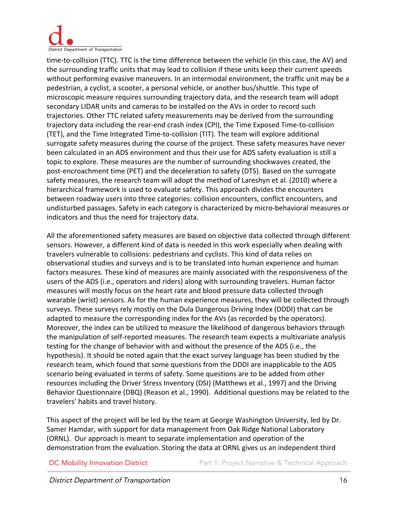

time-to-collision (TTC). TTC is the time difference between the vehicle (in this case, the AV) and the surrounding traffic units that may lead to collision if these units keep their current speeds without performing evasive maneuvers. In an intermodal environment, the traffic unit may be a pedestrian, a cyclist, a scooter, a personal vehicle, or another bus/shuttle. This type of microscopic measure requires surrounding trajectory data, and the research team will adopt secondary LIDAR units and cameras to be installed on the AVs in order to record such trajectories. Other TTC related safety measurements may be derived from the surrounding trajectory data including the rear-end crash index (CPI), the Time Exposed Time-to-collision (TET), and the Time Integrated Time-to-collision (TIT). The team will explore additional surrogate safety measures during the course of the project. These safety measures have never been calculated in an ADS environment and thus their use for ADS safety evaluation is still a topic to explore. These measures are the number of surrounding shockwaves created, the post-encroachment time (PET) and the deceleration to safety (DTS). Based on the surrogate safety measures, the research team will adopt the method of Lareshyn et al. (2010) where a hierarchical framework is used to evaluate safety. This approach divides the encounters between roadway users into three categories: collision encounters, conflict encounters, and undisturbed passages. Safety in each category is characterized by micro-behavioral measures or indicators and thus the need for trajectory data.

All the aforementioned safety measures are based on objective data collected through different sensors. However, a different kind of data is needed in this work especially when dealing with travelers vulnerable to collisions: pedestrians and cyclists. This kind of data relies on observational studies and surveys and is to be translated into human experience and human factors measures. These kind of measures are mainly associated with the responsiveness of the users of the ADS (i.e., operators and riders) along with surrounding travelers. Human factor measures will mostly focus on the heart rate and blood pressure data collected through wearable (wrist) sensors. As for the human experience measures, they will be collected through surveys. These surveys rely mostly on the Dula Dangerous Driving Index (DDDI) that can be adapted to measure the corresponding index for the AVs (as recorded by the operators). Moreover, the index can be utilized to measure the likelihood of dangerous behaviors through the manipulation of self-reported measures. The research team expects a multivariate analysis testing for the change of behavior with and without the presence of the ADS (i.e., the hypothesis). It should be noted again that the exact survey language has been studied by the research team, which found that some questions from the DDDI are inapplicable to the ADS scenario being evaluated in terms of safety. Some questions are to be added from other resources including the Driver Stress Inventory (DSI) (Matthews et al., 1997) and the Driving Behavior Questionnaire (DBQ) (Reason et al., 1990). Additional questions may be related to the travelers' habits and travel history.

This aspect of the project will be led by the team at George Washington University, led by Dr. Samer Hamdar, with support for data management from Oak Ridge National Laboratory (ORNL). Our approach is meant to separate implementation and operation of the demonstration from the evaluation. Storing the data at ORNL gives us an independent third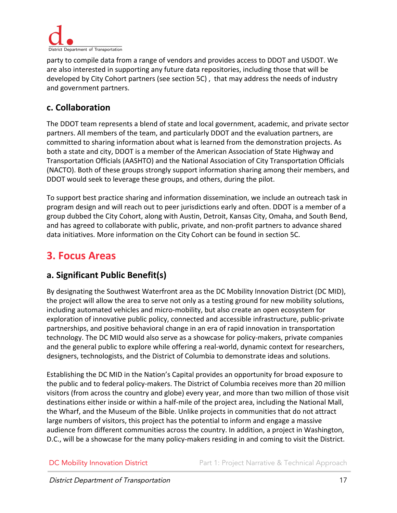

party to compile data from a range of vendors and provides access to DDOT and USDOT. We are also interested in supporting any future data repositories, including those that will be developed by City Cohort partners (see section 5C) , that may address the needs of industry and government partners.

#### <span id="page-17-0"></span>**c. Collaboration**

The DDOT team represents a blend of state and local government, academic, and private sector partners. All members of the team, and particularly DDOT and the evaluation partners, are committed to sharing information about what is learned from the demonstration projects. As both a state and city, DDOT is a member of the American Association of State Highway and Transportation Officials (AASHTO) and the National Association of City Transportation Officials (NACTO). Both of these groups strongly support information sharing among their members, and DDOT would seek to leverage these groups, and others, during the pilot.

To support best practice sharing and information dissemination, we include an outreach task in program design and will reach out to peer jurisdictions early and often. DDOT is a member of a group dubbed the City Cohort, along with Austin, Detroit, Kansas City, Omaha, and South Bend, and has agreed to collaborate with public, private, and non-profit partners to advance shared data initiatives. More information on the City Cohort can be found in section 5C.

# <span id="page-17-1"></span>**3. Focus Areas**

#### <span id="page-17-2"></span>**a. Significant Public Benefit(s)**

By designating the Southwest Waterfront area as the DC Mobility Innovation District (DC MID), the project will allow the area to serve not only as a testing ground for new mobility solutions, including automated vehicles and micro-mobility, but also create an open ecosystem for exploration of innovative public policy, connected and accessible infrastructure, public-private partnerships, and positive behavioral change in an era of rapid innovation in transportation technology. The DC MID would also serve as a showcase for policy-makers, private companies and the general public to explore while offering a real-world, dynamic context for researchers, designers, technologists, and the District of Columbia to demonstrate ideas and solutions.

Establishing the DC MID in the Nation's Capital provides an opportunity for broad exposure to the public and to federal policy-makers. The District of Columbia receives more than 20 million visitors (from across the country and globe) every year, and more than two million of those visit destinations either inside or within a half-mile of the project area, including the National Mall, the Wharf, and the Museum of the Bible. Unlike projects in communities that do not attract large numbers of visitors, this project has the potential to inform and engage a massive audience from different communities across the country. In addition, a project in Washington, D.C., will be a showcase for the many policy-makers residing in and coming to visit the District.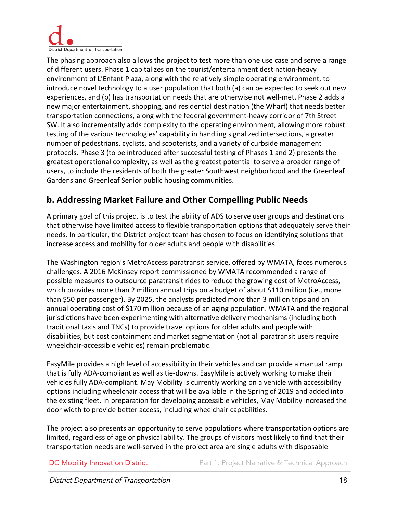

The phasing approach also allows the project to test more than one use case and serve a range of different users. Phase 1 capitalizes on the tourist/entertainment destination-heavy environment of L'Enfant Plaza, along with the relatively simple operating environment, to introduce novel technology to a user population that both (a) can be expected to seek out new experiences, and (b) has transportation needs that are otherwise not well-met. Phase 2 adds a new major entertainment, shopping, and residential destination (the Wharf) that needs better transportation connections, along with the federal government-heavy corridor of 7th Street SW. It also incrementally adds complexity to the operating environment, allowing more robust testing of the various technologies' capability in handling signalized intersections, a greater number of pedestrians, cyclists, and scooterists, and a variety of curbside management protocols. Phase 3 (to be introduced after successful testing of Phases 1 and 2) presents the greatest operational complexity, as well as the greatest potential to serve a broader range of users, to include the residents of both the greater Southwest neighborhood and the Greenleaf Gardens and Greenleaf Senior public housing communities.

#### <span id="page-18-0"></span>**b. Addressing Market Failure and Other Compelling Public Needs**

A primary goal of this project is to test the ability of ADS to serve user groups and destinations that otherwise have limited access to flexible transportation options that adequately serve their needs. In particular, the District project team has chosen to focus on identifying solutions that increase access and mobility for older adults and people with disabilities.

The Washington region's MetroAccess paratransit service, offered by WMATA, faces numerous challenges. A 2016 McKinsey report commissioned by WMATA recommended a range of possible measures to outsource paratransit rides to reduce the growing cost of MetroAccess, which provides more than 2 million annual trips on a budget of about \$110 million (i.e., more than \$50 per passenger). By 2025, the analysts predicted more than 3 million trips and an annual operating cost of \$170 million because of an aging population. WMATA and the regional jurisdictions have been experimenting with alternative delivery mechanisms (including both traditional taxis and TNCs) to provide travel options for older adults and people with disabilities, but cost containment and market segmentation (not all paratransit users require wheelchair-accessible vehicles) remain problematic.

EasyMile provides a high level of accessibility in their vehicles and can provide a manual ramp that is fully ADA-compliant as well as tie-downs. EasyMile is actively working to make their vehicles fully ADA-compliant. May Mobility is currently working on a vehicle with accessibility options including wheelchair access that will be available in the Spring of 2019 and added into the existing fleet. In preparation for developing accessible vehicles, May Mobility increased the door width to provide better access, including wheelchair capabilities.

The project also presents an opportunity to serve populations where transportation options are limited, regardless of age or physical ability. The groups of visitors most likely to find that their transportation needs are well-served in the project area are single adults with disposable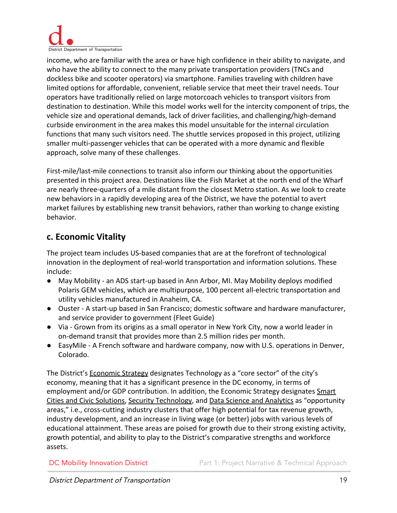

income, who are familiar with the area or have high confidence in their ability to navigate, and who have the ability to connect to the many private transportation providers (TNCs and dockless bike and scooter operators) via smartphone. Families traveling with children have limited options for affordable, convenient, reliable service that meet their travel needs. Tour operators have traditionally relied on large motorcoach vehicles to transport visitors from destination to destination. While this model works well for the intercity component of trips, the vehicle size and operational demands, lack of driver facilities, and challenging/high-demand curbside environment in the area makes this model unsuitable for the internal circulation functions that many such visitors need. The shuttle services proposed in this project, utilizing smaller multi-passenger vehicles that can be operated with a more dynamic and flexible approach, solve many of these challenges.

First-mile/last-mile connections to transit also inform our thinking about the opportunities presented in this project area. Destinations like the Fish Market at the north end of the Wharf are nearly three-quarters of a mile distant from the closest Metro station. As we look to create new behaviors in a rapidly developing area of the District, we have the potential to avert market failures by establishing new transit behaviors, rather than working to change existing behavior.

#### <span id="page-19-0"></span>**c. Economic Vitality**

The project team includes US-based companies that are at the forefront of technological innovation in the deployment of real-world transportation and information solutions. These include:

- May Mobility an ADS start-up based in Ann Arbor, MI. May Mobility deploys modified Polaris GEM vehicles, which are multipurpose, 100 percent all-electric transportation and utility vehicles manufactured in Anaheim, CA.
- Ouster A start-up based in San Francisco; domestic software and hardware manufacturer, and service provider to government (Fleet Guide)
- Via Grown from its origins as a small operator in New York City, now a world leader in on-demand transit that provides more than 2.5 million rides per month.
- EasyMile A French software and hardware company, now with U.S. operations in Denver, Colorado.

The District's **Economic Strategy** designates Technology as a "core sector" of the city's economy, meaning that it has a significant presence in the DC economy, in terms of employment and/or GDP contribution. In addition, the Economic Strategy designates [Smart](http://dceconomicstrategy.com/opportunityareas/smart-cities-civic-solutions/) [Cities and Civic Solutions,](http://dceconomicstrategy.com/opportunityareas/smart-cities-civic-solutions/) [Security Technology](http://dceconomicstrategy.com/opportunityareas/security-technology/), and [Data Science and Analytics](http://dceconomicstrategy.com/opportunityareas/data-analytics/) as "opportunity areas," i.e., cross-cutting industry clusters that offer high potential for tax revenue growth, industry development, and an increase in living wage (or better) jobs with various levels of educational attainment. These areas are poised for growth due to their strong existing activity, growth potential, and ability to play to the District's comparative strengths and workforce assets.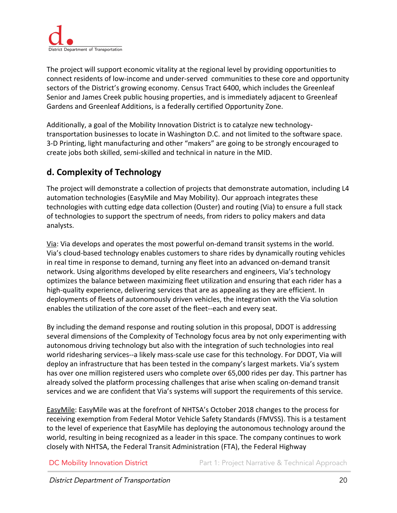

The project will support economic vitality at the regional level by providing opportunities to connect residents of low-income and under-served communities to these core and opportunity sectors of the District's growing economy. Census Tract 6400, which includes the Greenleaf Senior and James Creek public housing properties, and is immediately adjacent to Greenleaf Gardens and Greenleaf Additions, is a federally certified Opportunity Zone.

Additionally, a goal of the Mobility Innovation District is to catalyze new technologytransportation businesses to locate in Washington D.C. and not limited to the software space. 3-D Printing, light manufacturing and other "makers" are going to be strongly encouraged to create jobs both skilled, semi-skilled and technical in nature in the MID.

#### <span id="page-20-0"></span>**d. Complexity of Technology**

The project will demonstrate a collection of projects that demonstrate automation, including L4 automation technologies (EasyMile and May Mobility). Our approach integrates these technologies with cutting edge data collection (Ouster) and routing (Via) to ensure a full stack of technologies to support the spectrum of needs, from riders to policy makers and data analysts.

Via: Via develops and operates the most powerful on-demand transit systems in the world. Via's cloud-based technology enables customers to share rides by dynamically routing vehicles in real time in response to demand, turning any fleet into an advanced on-demand transit network. Using algorithms developed by elite researchers and engineers, Via's technology optimizes the balance between maximizing fleet utilization and ensuring that each rider has a high-quality experience, delivering services that are as appealing as they are efficient. In deployments of fleets of autonomously driven vehicles, the integration with the Via solution enables the utilization of the core asset of the fleet--each and every seat.

By including the demand response and routing solution in this proposal, DDOT is addressing several dimensions of the Complexity of Technology focus area by not only experimenting with autonomous driving technology but also with the integration of such technologies into real world ridesharing services--a likely mass-scale use case for this technology. For DDOT, Via will deploy an infrastructure that has been tested in the company's largest markets. Via's system has over one million registered users who complete over 65,000 rides per day. This partner has already solved the platform processing challenges that arise when scaling on-demand transit services and we are confident that Via's systems will support the requirements of this service.

EasyMile: EasyMile was at the forefront of NHTSA's October 2018 changes to the process for receiving exemption from Federal Motor Vehicle Safety Standards (FMVSS). This is a testament to the level of experience that EasyMile has deploying the autonomous technology around the world, resulting in being recognized as a leader in this space. The company continues to work closely with NHTSA, the Federal Transit Administration (FTA), the Federal Highway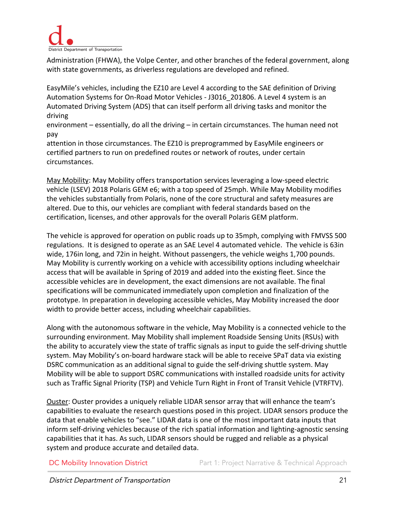

Administration (FHWA), the Volpe Center, and other branches of the federal government, along with state governments, as driverless regulations are developed and refined.

EasyMile's vehicles, including the EZ10 are Level 4 according to the SAE definition of Driving Automation Systems for On-Road Motor Vehicles - J3016\_201806. A Level 4 system is an Automated Driving System (ADS) that can itself perform all driving tasks and monitor the driving

environment – essentially, do all the driving – in certain circumstances. The human need not pay

attention in those circumstances. The EZ10 is preprogrammed by EasyMile engineers or certified partners to run on predefined routes or network of routes, under certain circumstances.

May Mobility: May Mobility offers transportation services leveraging a low-speed electric vehicle (LSEV) 2018 Polaris GEM e6; with a top speed of 25mph. While May Mobility modifies the vehicles substantially from Polaris, none of the core structural and safety measures are altered. Due to this, our vehicles are compliant with federal standards based on the certification, licenses, and other approvals for the overall Polaris GEM platform.

The vehicle is approved for operation on public roads up to 35mph, complying with FMVSS 500 regulations. It is designed to operate as an SAE Level 4 automated vehicle. The vehicle is 63in wide, 176in long, and 72in in height. Without passengers, the vehicle weighs 1,700 pounds. May Mobility is currently working on a vehicle with accessibility options including wheelchair access that will be available in Spring of 2019 and added into the existing fleet. Since the accessible vehicles are in development, the exact dimensions are not available. The final specifications will be communicated immediately upon completion and finalization of the prototype. In preparation in developing accessible vehicles, May Mobility increased the door width to provide better access, including wheelchair capabilities.

Along with the autonomous software in the vehicle, May Mobility is a connected vehicle to the surrounding environment. May Mobility shall implement Roadside Sensing Units (RSUs) with the ability to accurately view the state of traffic signals as input to guide the self-driving shuttle system. May Mobility's on-board hardware stack will be able to receive SPaT data via existing DSRC communication as an additional signal to guide the self-driving shuttle system. May Mobility will be able to support DSRC communications with installed roadside units for activity such as Traffic Signal Priority (TSP) and Vehicle Turn Right in Front of Transit Vehicle (VTRFTV).

Ouster: Ouster provides a uniquely reliable LIDAR sensor array that will enhance the team's capabilities to evaluate the research questions posed in this project. LIDAR sensors produce the data that enable vehicles to "see." LIDAR data is one of the most important data inputs that inform self-driving vehicles because of the rich spatial information and lighting-agnostic sensing capabilities that it has. As such, LIDAR sensors should be rugged and reliable as a physical system and produce accurate and detailed data.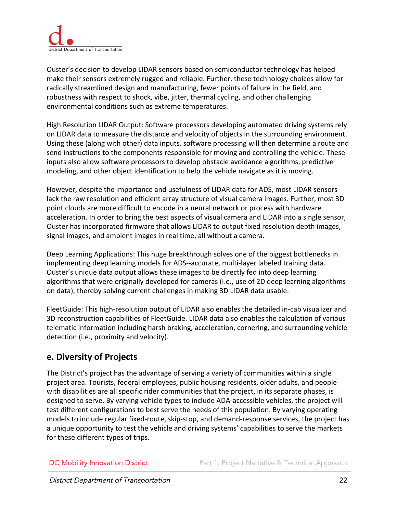

Ouster's decision to develop LIDAR sensors based on semiconductor technology has helped make their sensors extremely rugged and reliable. Further, these technology choices allow for radically streamlined design and manufacturing, fewer points of failure in the field, and robustness with respect to shock, vibe, jitter, thermal cycling, and other challenging environmental conditions such as extreme temperatures.

High Resolution LIDAR Output: Software processors developing automated driving systems rely on LIDAR data to measure the distance and velocity of objects in the surrounding environment. Using these (along with other) data inputs, software processing will then determine a route and send instructions to the components responsible for moving and controlling the vehicle. These inputs also allow software processors to develop obstacle avoidance algorithms, predictive modeling, and other object identification to help the vehicle navigate as it is moving.

However, despite the importance and usefulness of LIDAR data for ADS, most LIDAR sensors lack the raw resolution and efficient array structure of visual camera images. Further, most 3D point clouds are more difficult to encode in a neural network or process with hardware acceleration. In order to bring the best aspects of visual camera and LIDAR into a single sensor, Ouster has incorporated firmware that allows LIDAR to output fixed resolution depth images, signal images, and ambient images in real time, all without a camera.

Deep Learning Applications: This huge breakthrough solves one of the biggest bottlenecks in implementing deep learning models for ADS--accurate, multi-layer labeled training data. Ouster's unique data output allows these images to be directly fed into deep learning algorithms that were originally developed for cameras (i.e., use of 2D deep learning algorithms on data), thereby solving current challenges in making 3D LIDAR data usable.

FleetGuide: This high-resolution output of LIDAR also enables the detailed in-cab visualizer and 3D reconstruction capabilities of FleetGuide. LIDAR data also enables the calculation of various telematic information including harsh braking, acceleration, cornering, and surrounding vehicle detection (i.e., proximity and velocity).

#### <span id="page-22-0"></span>**e. Diversity of Projects**

The District's project has the advantage of serving a variety of communities within a single project area. Tourists, federal employees, public housing residents, older adults, and people with disabilities are all specific rider communities that the project, in its separate phases, is designed to serve. By varying vehicle types to include ADA-accessible vehicles, the project will test different configurations to best serve the needs of this population. By varying operating models to include regular fixed-route, skip-stop, and demand-response services, the project has a unique opportunity to test the vehicle and driving systems' capabilities to serve the markets for these different types of trips.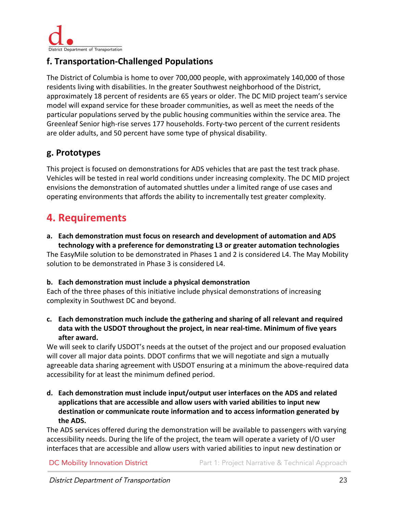

#### <span id="page-23-0"></span>**f. Transportation-Challenged Populations**

The District of Columbia is home to over 700,000 people, with approximately 140,000 of those residents living with disabilities. In the greater Southwest neighborhood of the District, approximately 18 percent of residents are 65 years or older. The DC MID project team's service model will expand service for these broader communities, as well as meet the needs of the particular populations served by the public housing communities within the service area. The Greenleaf Senior high-rise serves 177 households. Forty-two percent of the current residents are older adults, and 50 percent have some type of physical disability.

#### <span id="page-23-1"></span>**g. Prototypes**

This project is focused on demonstrations for ADS vehicles that are past the test track phase. Vehicles will be tested in real world conditions under increasing complexity. The DC MID project envisions the demonstration of automated shuttles under a limited range of use cases and operating environments that affords the ability to incrementally test greater complexity.

## <span id="page-23-2"></span>**4. Requirements**

**a. Each demonstration must focus on research and development of automation and ADS technology with a preference for demonstrating L3 or greater automation technologies**

The EasyMile solution to be demonstrated in Phases 1 and 2 is considered L4. The May Mobility solution to be demonstrated in Phase 3 is considered L4.

#### **b. Each demonstration must include a physical demonstration**

Each of the three phases of this initiative include physical demonstrations of increasing complexity in Southwest DC and beyond.

**c. Each demonstration much include the gathering and sharing of all relevant and required data with the USDOT throughout the project, in near real-time. Minimum of five years after award.**

We will seek to clarify USDOT's needs at the outset of the project and our proposed evaluation will cover all major data points. DDOT confirms that we will negotiate and sign a mutually agreeable data sharing agreement with USDOT ensuring at a minimum the above-required data accessibility for at least the minimum defined period.

**d. Each demonstration must include input/output user interfaces on the ADS and related applications that are accessible and allow users with varied abilities to input new destination or communicate route information and to access information generated by the ADS.**

The ADS services offered during the demonstration will be available to passengers with varying accessibility needs. During the life of the project, the team will operate a variety of I/O user interfaces that are accessible and allow users with varied abilities to input new destination or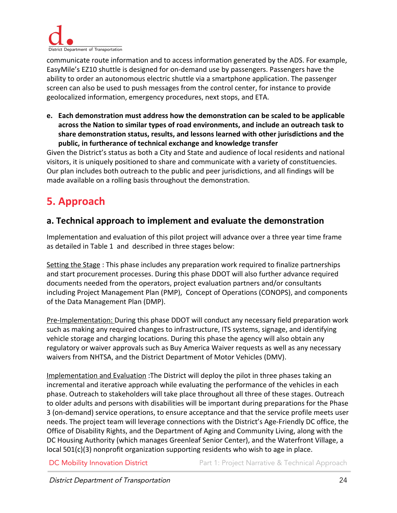

communicate route information and to access information generated by the ADS. For example, EasyMile's EZ10 shuttle is designed for on-demand use by passengers. Passengers have the ability to order an autonomous electric shuttle via a smartphone application. The passenger screen can also be used to push messages from the control center, for instance to provide geolocalized information, emergency procedures, next stops, and ETA.

**e. Each demonstration must address how the demonstration can be scaled to be applicable across the Nation to similar types of road environments, and include an outreach task to share demonstration status, results, and lessons learned with other jurisdictions and the public, in furtherance of technical exchange and knowledge transfer**

Given the District's status as both a City and State and audience of local residents and national visitors, it is uniquely positioned to share and communicate with a variety of constituencies. Our plan includes both outreach to the public and peer jurisdictions, and all findings will be made available on a rolling basis throughout the demonstration.

# <span id="page-24-0"></span>**5. Approach**

#### <span id="page-24-1"></span>**a. Technical approach to implement and evaluate the demonstration**

Implementation and evaluation of this pilot project will advance over a three year time frame as detailed in Table 1 and described in three stages below:

Setting the Stage : This phase includes any preparation work required to finalize partnerships and start procurement processes. During this phase DDOT will also further advance required documents needed from the operators, project evaluation partners and/or consultants including Project Management Plan (PMP), Concept of Operations (CONOPS), and components of the Data Management Plan (DMP).

Pre-Implementation: During this phase DDOT will conduct any necessary field preparation work such as making any required changes to infrastructure, ITS systems, signage, and identifying vehicle storage and charging locations. During this phase the agency will also obtain any regulatory or waiver approvals such as Buy America Waiver requests as well as any necessary waivers from NHTSA, and the District Department of Motor Vehicles (DMV).

Implementation and Evaluation :The District will deploy the pilot in three phases taking an incremental and iterative approach while evaluating the performance of the vehicles in each phase. Outreach to stakeholders will take place throughout all three of these stages. Outreach to older adults and persons with disabilities will be important during preparations for the Phase 3 (on-demand) service operations, to ensure acceptance and that the service profile meets user needs. The project team will leverage connections with the District's Age-Friendly DC office, the Office of Disability Rights, and the Department of Aging and Community Living, along with the DC Housing Authority (which manages Greenleaf Senior Center), and the Waterfront Village, a local 501(c)(3) nonprofit organization supporting residents who wish to age in place.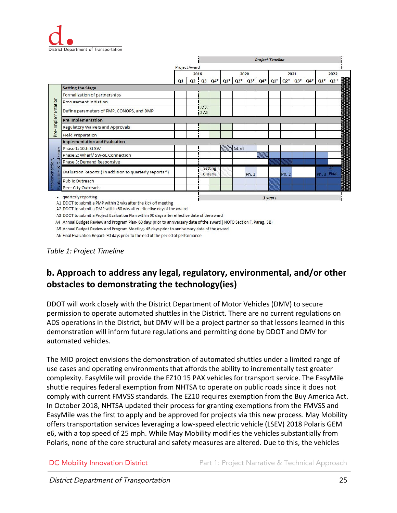

|                                  |                                                         |    |               |             |                     |                         |        |        | <b>Project Timeline</b> |        |        |                   |       |             |       |
|----------------------------------|---------------------------------------------------------|----|---------------|-------------|---------------------|-------------------------|--------|--------|-------------------------|--------|--------|-------------------|-------|-------------|-------|
|                                  |                                                         |    | Project Award |             |                     |                         |        |        |                         |        |        |                   |       |             |       |
|                                  |                                                         |    | 2019          |             |                     | 2020                    |        |        | 2021                    |        |        |                   | 2022  |             |       |
|                                  |                                                         | Q1 |               |             |                     | $Q2 \tQ3 \tQ4^* \tQ1^*$ | $Q2^*$ | $Q3^*$ | $Q4*$                   | $Q1^*$ | $Q2^*$ | $Q3$ <sup>*</sup> | $Q4*$ | $Q1^*$      | $Q2*$ |
|                                  | <b>Setting the Stage</b>                                |    |               |             |                     |                         |        |        |                         |        |        |                   |       |             |       |
|                                  | Formalization of partnerships                           |    |               |             |                     |                         |        |        |                         |        |        |                   |       |             |       |
|                                  | Procurement initiation                                  |    |               |             |                     |                         |        |        |                         |        |        |                   |       |             |       |
| Pre-Implementation               | Define parameters of PMP, CONOPS, and DMP               |    |               | A1A<br>12A3 |                     |                         |        |        |                         |        |        |                   |       |             |       |
|                                  | <b>Pre Implementation</b>                               |    |               |             |                     |                         |        |        |                         |        |        |                   |       |             |       |
|                                  | Regulatory Waivers and Approvals                        |    |               |             |                     |                         |        |        |                         |        |        |                   |       |             |       |
|                                  | <b>Field Preparation</b>                                |    |               |             |                     |                         |        |        |                         |        |        |                   |       |             |       |
|                                  | <b>Implementation and Evaluation</b>                    |    |               |             |                     |                         |        |        |                         |        |        |                   |       |             |       |
|                                  | Phase 1: 10th St SW                                     |    |               |             |                     |                         | A4, A5 |        |                         |        |        |                   |       |             |       |
| Outreach                         | Phase 2: Wharf/ SW-SE Connection                        |    |               |             |                     |                         |        |        |                         |        |        |                   |       |             |       |
|                                  | Phase 3: Demand Responsive                              |    |               |             |                     |                         |        |        |                         |        |        |                   |       |             |       |
| mplementation,<br>οŏ<br>aluation | Evaluation Reports (in addition to quarterly reports *) |    |               |             | Setting<br>Criteria |                         |        | Ph. 1  |                         |        | Ph. 2  |                   |       | Ph. 3 Final | 146   |
|                                  | <b>Public Outreach</b>                                  |    |               |             |                     |                         |        |        |                         |        |        |                   |       |             |       |
|                                  | Peer City Outreach                                      |    |               |             |                     |                         |        |        |                         |        |        |                   |       |             |       |

A1 DDOT to submit a PMP within 2 wks after the kick off meeting

A2 DDOT to submit a DMP within 60 wks after effective day of the award

A3 DDOT to submit a Project Evaluation Plan within 90 days after effective date of the award

A4 Annual Budget Review and Program Plan- 60 days prior to anniversary date of the award (NOFO Section F, Parag. 3B)

A5 Annual Budget Review and Program Meeting-45 days prior to anniversary date of the award

A6 Final Evaluation Report-90 days prior to the end of the period of performance

#### *Table 1: Project Timeline*

### <span id="page-25-0"></span>**b. Approach to address any legal, regulatory, environmental, and/or other obstacles to demonstrating the technology(ies)**

DDOT will work closely with the District Department of Motor Vehicles (DMV) to secure permission to operate automated shuttles in the District. There are no current regulations on ADS operations in the District, but DMV will be a project partner so that lessons learned in this demonstration will inform future regulations and permitting done by DDOT and DMV for automated vehicles.

The MID project envisions the demonstration of automated shuttles under a limited range of use cases and operating environments that affords the ability to incrementally test greater complexity. EasyMile will provide the EZ10 15 PAX vehicles for transport service. The EasyMile shuttle requires federal exemption from NHTSA to operate on public roads since it does not comply with current FMVSS standards. The EZ10 requires exemption from the Buy America Act. In October 2018, NHTSA updated their process for granting exemptions from the FMVSS and EasyMile was the first to apply and be approved for projects via this new process. May Mobility offers transportation services leveraging a low-speed electric vehicle (LSEV) 2018 Polaris GEM e6, with a top speed of 25 mph. While May Mobility modifies the vehicles substantially from Polaris, none of the core structural and safety measures are altered. Due to this, the vehicles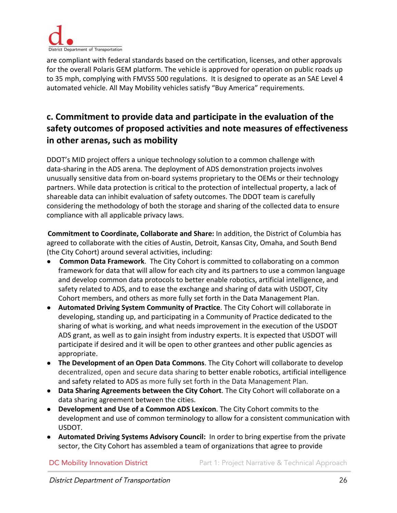

are compliant with federal standards based on the certification, licenses, and other approvals for the overall Polaris GEM platform. The vehicle is approved for operation on public roads up to 35 mph, complying with FMVSS 500 regulations. It is designed to operate as an SAE Level 4 automated vehicle. All May Mobility vehicles satisfy "Buy America" requirements.

### <span id="page-26-0"></span>**c. Commitment to provide data and participate in the evaluation of the safety outcomes of proposed activities and note measures of effectiveness in other arenas, such as mobility**

DDOT's MID project offers a unique technology solution to a common challenge with data-sharing in the ADS arena. The deployment of ADS demonstration projects involves unusually sensitive data from on-board systems proprietary to the OEMs or their technology partners. While data protection is critical to the protection of intellectual property, a lack of shareable data can inhibit evaluation of safety outcomes. The DDOT team is carefully considering the methodology of both the storage and sharing of the collected data to ensure compliance with all applicable privacy laws.

**Commitment to Coordinate, Collaborate and Share:** In addition, the District of Columbia has agreed to collaborate with the cities of Austin, Detroit, Kansas City, Omaha, and South Bend (the City Cohort) around several activities, including:

- **Common Data Framework**. The City Cohort is committed to collaborating on a common framework for data that will allow for each city and its partners to use a common language and develop common data protocols to better enable robotics, artificial intelligence, and safety related to ADS, and to ease the exchange and sharing of data with USDOT, City Cohort members, and others as more fully set forth in the Data Management Plan.
- **Automated Driving System Community of Practice**. The City Cohort will collaborate in developing, standing up, and participating in a Community of Practice dedicated to the sharing of what is working, and what needs improvement in the execution of the USDOT ADS grant, as well as to gain insight from industry experts. It is expected that USDOT will participate if desired and it will be open to other grantees and other public agencies as appropriate.
- **The Development of an Open Data Commons**. The City Cohort will collaborate to develop decentralized, open and secure data sharing to better enable robotics, artificial intelligence and safety related to ADS as more fully set forth in the Data Management Plan.
- **Data Sharing Agreements between the City Cohort**. The City Cohort will collaborate on a data sharing agreement between the cities.
- **Development and Use of a Common ADS Lexicon**. The City Cohort commits to the development and use of common terminology to allow for a consistent communication with USDOT.
- **Automated Driving Systems Advisory Council:** In order to bring expertise from the private sector, the City Cohort has assembled a team of organizations that agree to provide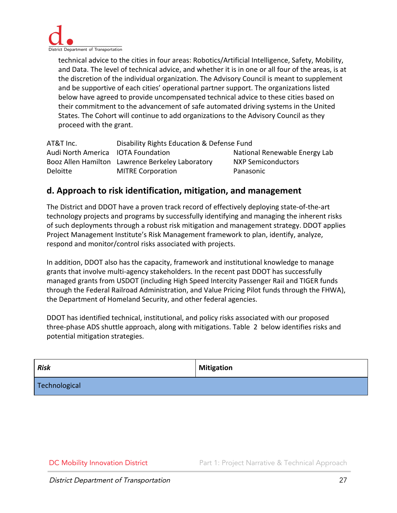

technical advice to the cities in four areas: Robotics/Artificial Intelligence, Safety, Mobility, and Data. The level of technical advice, and whether it is in one or all four of the areas, is at the discretion of the individual organization. The Advisory Council is meant to supplement and be supportive of each cities' operational partner support. The organizations listed below have agreed to provide uncompensated technical advice to these cities based on their commitment to the advancement of safe automated driving systems in the United States. The Cohort will continue to add organizations to the Advisory Council as they proceed with the grant.

| AT&T Inc.                          | Disability Rights Education & Defense Fund       |                               |  |  |  |
|------------------------------------|--------------------------------------------------|-------------------------------|--|--|--|
| Audi North America IOTA Foundation |                                                  | National Renewable Energy Lab |  |  |  |
|                                    | Booz Allen Hamilton Lawrence Berkeley Laboratory | <b>NXP Semiconductors</b>     |  |  |  |
| Deloitte                           | <b>MITRE Corporation</b>                         | Panasonic                     |  |  |  |

#### <span id="page-27-0"></span>**d. Approach to risk identification, mitigation, and management**

The District and DDOT have a proven track record of effectively deploying state-of-the-art technology projects and programs by successfully identifying and managing the inherent risks of such deployments through a robust risk mitigation and management strategy. DDOT applies Project Management Institute's Risk Management framework to plan, identify, analyze, respond and monitor/control risks associated with projects.

In addition, DDOT also has the capacity, framework and institutional knowledge to manage grants that involve multi-agency stakeholders. In the recent past DDOT has successfully managed grants from USDOT (including High Speed Intercity Passenger Rail and TIGER funds through the Federal Railroad Administration, and Value Pricing Pilot funds through the FHWA), the Department of Homeland Security, and other federal agencies.

DDOT has identified technical, institutional, and policy risks associated with our proposed three-phase ADS shuttle approach, along with mitigations. Table 2 below identifies risks and potential mitigation strategies.

| <b>Risk</b>   | <b>Mitigation</b> |
|---------------|-------------------|
| Technological |                   |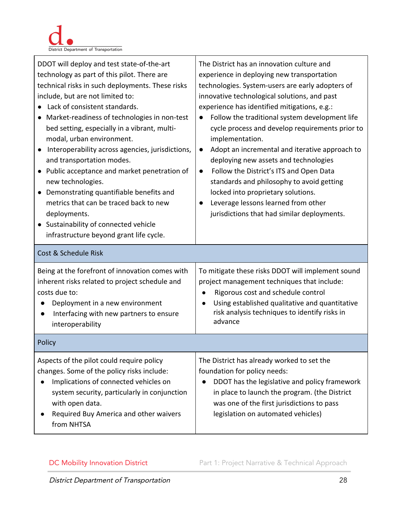

| DDOT will deploy and test state-of-the-art<br>technology as part of this pilot. There are<br>technical risks in such deployments. These risks<br>include, but are not limited to:<br>• Lack of consistent standards.<br>Market-readiness of technologies in non-test<br>bed setting, especially in a vibrant, multi-<br>modal, urban environment.<br>Interoperability across agencies, jurisdictions,<br>and transportation modes.<br>• Public acceptance and market penetration of<br>new technologies.<br>• Demonstrating quantifiable benefits and<br>metrics that can be traced back to new<br>deployments.<br>• Sustainability of connected vehicle<br>infrastructure beyond grant life cycle. | The District has an innovation culture and<br>experience in deploying new transportation<br>technologies. System-users are early adopters of<br>innovative technological solutions, and past<br>experience has identified mitigations, e.g.:<br>Follow the traditional system development life<br>$\bullet$<br>cycle process and develop requirements prior to<br>implementation.<br>Adopt an incremental and iterative approach to<br>$\bullet$<br>deploying new assets and technologies<br>Follow the District's ITS and Open Data<br>$\bullet$<br>standards and philosophy to avoid getting<br>locked into proprietary solutions.<br>Leverage lessons learned from other<br>jurisdictions that had similar deployments. |
|-----------------------------------------------------------------------------------------------------------------------------------------------------------------------------------------------------------------------------------------------------------------------------------------------------------------------------------------------------------------------------------------------------------------------------------------------------------------------------------------------------------------------------------------------------------------------------------------------------------------------------------------------------------------------------------------------------|----------------------------------------------------------------------------------------------------------------------------------------------------------------------------------------------------------------------------------------------------------------------------------------------------------------------------------------------------------------------------------------------------------------------------------------------------------------------------------------------------------------------------------------------------------------------------------------------------------------------------------------------------------------------------------------------------------------------------|
| Cost & Schedule Risk<br>Being at the forefront of innovation comes with<br>inherent risks related to project schedule and<br>costs due to:<br>Deployment in a new environment<br>Interfacing with new partners to ensure<br>$\bullet$<br>interoperability                                                                                                                                                                                                                                                                                                                                                                                                                                           | To mitigate these risks DDOT will implement sound<br>project management techniques that include:<br>Rigorous cost and schedule control<br>$\bullet$<br>Using established qualitative and quantitative<br>$\bullet$<br>risk analysis techniques to identify risks in<br>advance                                                                                                                                                                                                                                                                                                                                                                                                                                             |
| Policy                                                                                                                                                                                                                                                                                                                                                                                                                                                                                                                                                                                                                                                                                              |                                                                                                                                                                                                                                                                                                                                                                                                                                                                                                                                                                                                                                                                                                                            |
| Aspects of the pilot could require policy<br>changes. Some of the policy risks include:<br>Implications of connected vehicles on<br>system security, particularly in conjunction<br>with open data.<br>Required Buy America and other waivers<br>from NHTSA                                                                                                                                                                                                                                                                                                                                                                                                                                         | The District has already worked to set the<br>foundation for policy needs:<br>DDOT has the legislative and policy framework<br>in place to launch the program. (the District<br>was one of the first jurisdictions to pass<br>legislation on automated vehicles)                                                                                                                                                                                                                                                                                                                                                                                                                                                           |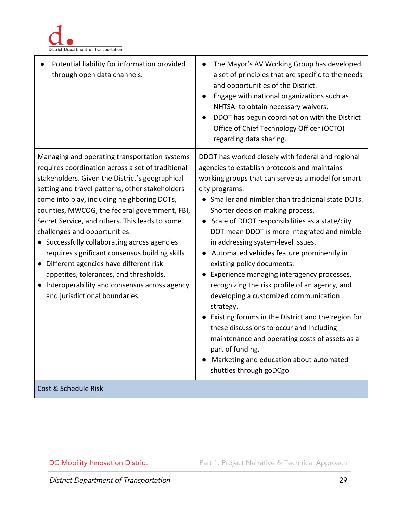

| Potential liability for information provided<br>through open data channels.                                                                                                                                                                                                                                                                                                                                                                                                                                                                                                                                                                                           | The Mayor's AV Working Group has developed<br>a set of principles that are specific to the needs<br>and opportunities of the District.<br>Engage with national organizations such as<br>NHTSA to obtain necessary waivers.<br>DDOT has begun coordination with the District<br>Office of Chief Technology Officer (OCTO)<br>regarding data sharing.                                                                                                                                                                                                                                                                                                                                                                                                                                                                                                                                            |
|-----------------------------------------------------------------------------------------------------------------------------------------------------------------------------------------------------------------------------------------------------------------------------------------------------------------------------------------------------------------------------------------------------------------------------------------------------------------------------------------------------------------------------------------------------------------------------------------------------------------------------------------------------------------------|------------------------------------------------------------------------------------------------------------------------------------------------------------------------------------------------------------------------------------------------------------------------------------------------------------------------------------------------------------------------------------------------------------------------------------------------------------------------------------------------------------------------------------------------------------------------------------------------------------------------------------------------------------------------------------------------------------------------------------------------------------------------------------------------------------------------------------------------------------------------------------------------|
| Managing and operating transportation systems<br>requires coordination across a set of traditional<br>stakeholders. Given the District's geographical<br>setting and travel patterns, other stakeholders<br>come into play, including neighboring DOTs,<br>counties, MWCOG, the federal government, FBI,<br>Secret Service, and others. This leads to some<br>challenges and opportunities:<br>• Successfully collaborating across agencies<br>requires significant consensus building skills<br>• Different agencies have different risk<br>appetites, tolerances, and thresholds.<br>Interoperability and consensus across agency<br>and jurisdictional boundaries. | DDOT has worked closely with federal and regional<br>agencies to establish protocols and maintains<br>working groups that can serve as a model for smart<br>city programs:<br>• Smaller and nimbler than traditional state DOTs.<br>Shorter decision making process.<br>• Scale of DDOT responsibilities as a state/city<br>DOT mean DDOT is more integrated and nimble<br>in addressing system-level issues.<br>Automated vehicles feature prominently in<br>existing policy documents.<br>Experience managing interagency processes,<br>recognizing the risk profile of an agency, and<br>developing a customized communication<br>strategy.<br>• Existing forums in the District and the region for<br>these discussions to occur and Including<br>maintenance and operating costs of assets as a<br>part of funding.<br>Marketing and education about automated<br>shuttles through goDCgo |
| Cost & Schedule Risk                                                                                                                                                                                                                                                                                                                                                                                                                                                                                                                                                                                                                                                  |                                                                                                                                                                                                                                                                                                                                                                                                                                                                                                                                                                                                                                                                                                                                                                                                                                                                                                |